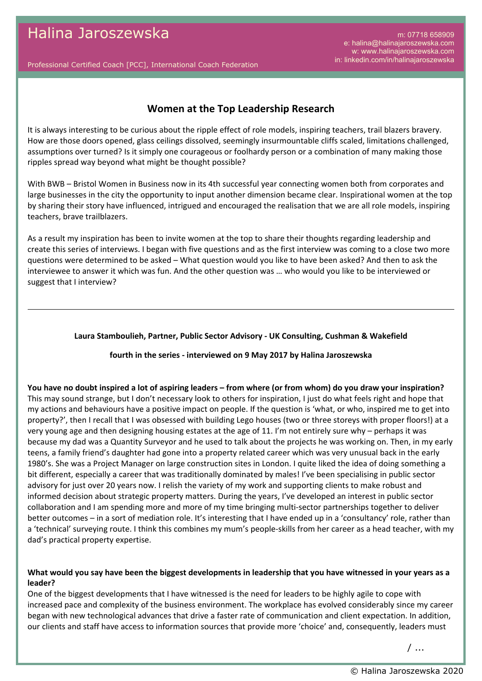m: 07718 658909 e: halina@halinajaroszewska.com w: www.halinajaroszewska.com in: linkedin.com/in/halinajaroszewska

Professional Certified Coach [PCC], International Coach Federation

# **Women at the Top Leadership Research**

It is always interesting to be curious about the ripple effect of role models, inspiring teachers, trail blazers bravery. How are those doors opened, glass ceilings dissolved, seemingly insurmountable cliffs scaled, limitations challenged, assumptions over turned? Is it simply one courageous or foolhardy person or a combination of many making those ripples spread way beyond what might be thought possible?

With BWB – Bristol Women in Business now in its 4th successful year connecting women both from corporates and large businesses in the city the opportunity to input another dimension became clear. Inspirational women at the top by sharing their story have influenced, intrigued and encouraged the realisation that we are all role models, inspiring teachers, brave trailblazers.

As a result my inspiration has been to invite women at the top to share their thoughts regarding leadership and create this series of interviews. I began with five questions and as the first interview was coming to a close two more questions were determined to be asked – What question would you like to have been asked? And then to ask the interviewee to answer it which was fun. And the other question was … who would you like to be interviewed or suggest that I interview?

### **Laura Stamboulieh, Partner, Public Sector Advisory - UK Consulting, Cushman & Wakefield**

### **fourth in the series - interviewed on 9 May 2017 by Halina Jaroszewska**

**You have no doubt inspired a lot of aspiring leaders – from where (or from whom) do you draw your inspiration?** This may sound strange, but I don't necessary look to others for inspiration, I just do what feels right and hope that my actions and behaviours have a positive impact on people. If the question is 'what, or who, inspired me to get into property?', then I recall that I was obsessed with building Lego houses (two or three storeys with proper floors!) at a very young age and then designing housing estates at the age of 11. I'm not entirely sure why – perhaps it was because my dad was a Quantity Surveyor and he used to talk about the projects he was working on. Then, in my early teens, a family friend's daughter had gone into a property related career which was very unusual back in the early 1980's. She was a Project Manager on large construction sites in London. I quite liked the idea of doing something a bit different, especially a career that was traditionally dominated by males! I've been specialising in public sector advisory for just over 20 years now. I relish the variety of my work and supporting clients to make robust and informed decision about strategic property matters. During the years, I've developed an interest in public sector collaboration and I am spending more and more of my time bringing multi-sector partnerships together to deliver better outcomes – in a sort of mediation role. It's interesting that I have ended up in a 'consultancy' role, rather than a 'technical' surveying route. I think this combines my mum's people-skills from her career as a head teacher, with my dad's practical property expertise.

### **What would you say have been the biggest developments in leadership that you have witnessed in your years as a leader?**

One of the biggest developments that I have witnessed is the need for leaders to be highly agile to cope with increased pace and complexity of the business environment. The workplace has evolved considerably since my career began with new technological advances that drive a faster rate of communication and client expectation. In addition, our clients and staff have access to information sources that provide more 'choice' and, consequently, leaders must

/ ...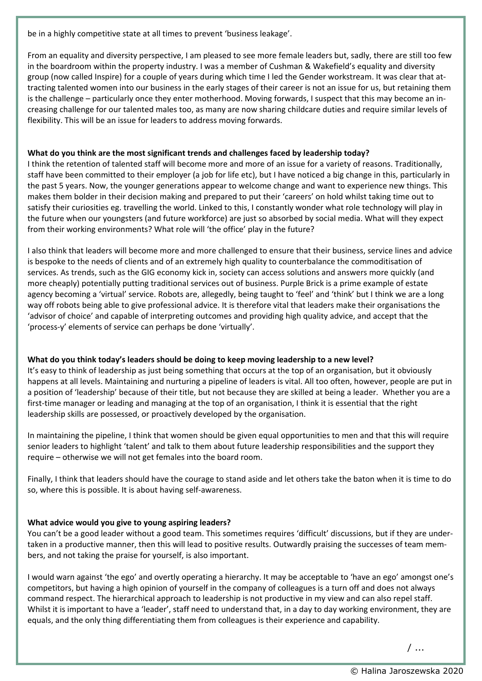be in a highly competitive state at all times to prevent 'business leakage'.

From an equality and diversity perspective, I am pleased to see more female leaders but, sadly, there are still too few in the boardroom within the property industry. I was a member of Cushman & Wakefield's equality and diversity group (now called Inspire) for a couple of years during which time I led the Gender workstream. It was clear that attracting talented women into our business in the early stages of their career is not an issue for us, but retaining them is the challenge – particularly once they enter motherhood. Moving forwards, I suspect that this may become an increasing challenge for our talented males too, as many are now sharing childcare duties and require similar levels of flexibility. This will be an issue for leaders to address moving forwards.

# **What do you think are the most significant trends and challenges faced by leadership today?**

I think the retention of talented staff will become more and more of an issue for a variety of reasons. Traditionally, staff have been committed to their employer (a job for life etc), but I have noticed a big change in this, particularly in the past 5 years. Now, the younger generations appear to welcome change and want to experience new things. This makes them bolder in their decision making and prepared to put their 'careers' on hold whilst taking time out to satisfy their curiosities eg. travelling the world. Linked to this, I constantly wonder what role technology will play in the future when our youngsters (and future workforce) are just so absorbed by social media. What will they expect from their working environments? What role will 'the office' play in the future?

I also think that leaders will become more and more challenged to ensure that their business, service lines and advice is bespoke to the needs of clients and of an extremely high quality to counterbalance the commoditisation of services. As trends, such as the GIG economy kick in, society can access solutions and answers more quickly (and more cheaply) potentially putting traditional services out of business. Purple Brick is a prime example of estate agency becoming a 'virtual' service. Robots are, allegedly, being taught to 'feel' and 'think' but I think we are a long way off robots being able to give professional advice. It is therefore vital that leaders make their organisations the 'advisor of choice' and capable of interpreting outcomes and providing high quality advice, and accept that the 'process-y' elements of service can perhaps be done 'virtually'.

# **What do you think today's leaders should be doing to keep moving leadership to a new level?**

It's easy to think of leadership as just being something that occurs at the top of an organisation, but it obviously happens at all levels. Maintaining and nurturing a pipeline of leaders is vital. All too often, however, people are put in a position of 'leadership' because of their title, but not because they are skilled at being a leader. Whether you are a first-time manager or leading and managing at the top of an organisation, I think it is essential that the right leadership skills are possessed, or proactively developed by the organisation.

In maintaining the pipeline, I think that women should be given equal opportunities to men and that this will require senior leaders to highlight 'talent' and talk to them about future leadership responsibilities and the support they require – otherwise we will not get females into the board room.

Finally, I think that leaders should have the courage to stand aside and let others take the baton when it is time to do so, where this is possible. It is about having self-awareness.

### **What advice would you give to young aspiring leaders?**

You can't be a good leader without a good team. This sometimes requires 'difficult' discussions, but if they are undertaken in a productive manner, then this will lead to positive results. Outwardly praising the successes of team members, and not taking the praise for yourself, is also important.

I would warn against 'the ego' and overtly operating a hierarchy. It may be acceptable to 'have an ego' amongst one's competitors, but having a high opinion of yourself in the company of colleagues is a turn off and does not always command respect. The hierarchical approach to leadership is not productive in my view and can also repel staff. Whilst it is important to have a 'leader', staff need to understand that, in a day to day working environment, they are equals, and the only thing differentiating them from colleagues is their experience and capability.

/ ...